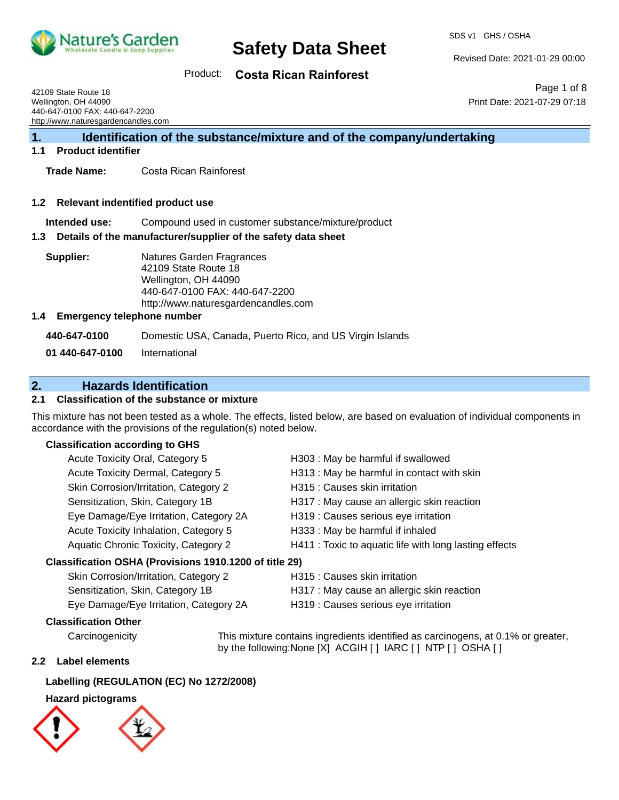

Revised Date: 2021-01-29 00:00

Product: **Costa Rican Rainforest**

42109 State Route 18 Wellington, OH 44090 440-647-0100 FAX: 440-647-2200 http://www.naturesgardencandles.com

Page 1 of 8 Print Date: 2021-07-29 07:18

**1. Identification of the substance/mixture and of the company/undertaking**

#### **1.1 Product identifier**

**Trade Name:** Costa Rican Rainforest

#### **1.2 Relevant indentified product use**

**Intended use:** Compound used in customer substance/mixture/product

#### **1.3 Details of the manufacturer/supplier of the safety data sheet**

| Supplier: | Natures Garden Fragrances<br>42109 State Route 18 |
|-----------|---------------------------------------------------|
|           | Wellington, OH 44090                              |
|           | 440-647-0100 FAX: 440-647                         |
|           |                                                   |

ite 18 A090 4X: 440-647-2200 http://www.naturesgardencandles.com

#### **1.4 Emergency telephone number**

| 440-647-0100    | Domestic USA, Canada, Puerto Rico, and US Virgin Islands |
|-----------------|----------------------------------------------------------|
| 01 440-647-0100 | International                                            |

## **2. Hazards Identification**

### **2.1 Classification of the substance or mixture**

This mixture has not been tested as a whole. The effects, listed below, are based on evaluation of individual components in accordance with the provisions of the regulation(s) noted below.

#### **Classification according to GHS**

| Acute Toxicity Oral, Category 5                        | H303 : May be harmful if swallowed                     |
|--------------------------------------------------------|--------------------------------------------------------|
| Acute Toxicity Dermal, Category 5                      | H313 : May be harmful in contact with skin             |
| Skin Corrosion/Irritation, Category 2                  | H315 : Causes skin irritation                          |
| Sensitization, Skin, Category 1B                       | H317 : May cause an allergic skin reaction             |
| Eye Damage/Eye Irritation, Category 2A                 | H319 : Causes serious eye irritation                   |
| Acute Toxicity Inhalation, Category 5                  | H333: May be harmful if inhaled                        |
| <b>Aquatic Chronic Toxicity, Category 2</b>            | H411 : Toxic to aquatic life with long lasting effects |
| Classification OSHA (Provisions 1910.1200 of title 29) |                                                        |

| Skin Corrosion/Irritation, Category 2  | H315 : Causes skin irritation              |
|----------------------------------------|--------------------------------------------|
| Sensitization, Skin, Category 1B       | H317 : May cause an allergic skin reaction |
| Eye Damage/Eye Irritation, Category 2A | H319 : Causes serious eye irritation       |

**Classification Other**

Carcinogenicity This mixture contains ingredients identified as carcinogens, at 0.1% or greater, by the following:None [X] ACGIH [] IARC [] NTP [] OSHA []

#### **2.2 Label elements**

#### **Labelling (REGULATION (EC) No 1272/2008)**

### **Hazard pictograms**

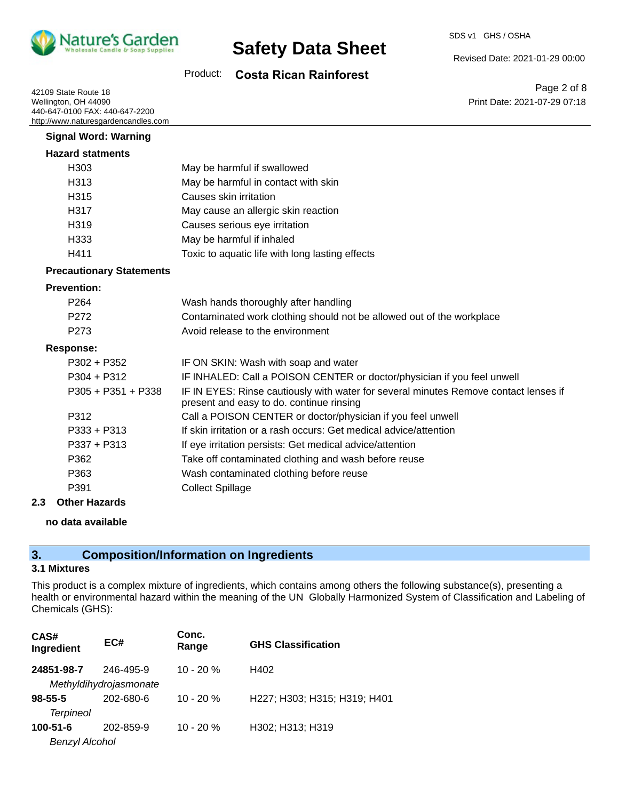

Revised Date: 2021-01-29 00:00

### Product: **Costa Rican Rainforest**

42109 State Route 18 Wellington, OH 44090 440-647-0100 FAX: 440-647-2200 http://www.naturesgardencandles.com

Page 2 of 8 Print Date: 2021-07-29 07:18

| <b>Hazard statments</b><br>H <sub>303</sub><br>May be harmful if swallowed<br>H313<br>May be harmful in contact with skin<br>Causes skin irritation<br>H <sub>315</sub><br>H317<br>May cause an allergic skin reaction<br>H319<br>Causes serious eye irritation<br>H333<br>May be harmful if inhaled<br>H411<br>Toxic to aquatic life with long lasting effects<br><b>Precautionary Statements</b><br><b>Prevention:</b><br>P <sub>264</sub><br>Wash hands thoroughly after handling<br>P <sub>272</sub><br>Contaminated work clothing should not be allowed out of the workplace<br>Avoid release to the environment<br>P <sub>273</sub><br><b>Response:</b><br>P302 + P352<br>IF ON SKIN: Wash with soap and water<br>$P304 + P312$<br>IF INHALED: Call a POISON CENTER or doctor/physician if you feel unwell<br>$P305 + P351 + P338$<br>IF IN EYES: Rinse cautiously with water for several minutes Remove contact lenses if<br>present and easy to do. continue rinsing<br>P312<br>Call a POISON CENTER or doctor/physician if you feel unwell<br>If skin irritation or a rash occurs: Get medical advice/attention<br>$P333 + P313$<br>$P337 + P313$<br>If eye irritation persists: Get medical advice/attention<br>P362<br>Take off contaminated clothing and wash before reuse<br>P363<br>Wash contaminated clothing before reuse<br><b>Collect Spillage</b><br>P391 | <b>Signal Word: Warning</b> |  |
|------------------------------------------------------------------------------------------------------------------------------------------------------------------------------------------------------------------------------------------------------------------------------------------------------------------------------------------------------------------------------------------------------------------------------------------------------------------------------------------------------------------------------------------------------------------------------------------------------------------------------------------------------------------------------------------------------------------------------------------------------------------------------------------------------------------------------------------------------------------------------------------------------------------------------------------------------------------------------------------------------------------------------------------------------------------------------------------------------------------------------------------------------------------------------------------------------------------------------------------------------------------------------------------------------------------------------------------------------------------------------|-----------------------------|--|
|                                                                                                                                                                                                                                                                                                                                                                                                                                                                                                                                                                                                                                                                                                                                                                                                                                                                                                                                                                                                                                                                                                                                                                                                                                                                                                                                                                              |                             |  |
|                                                                                                                                                                                                                                                                                                                                                                                                                                                                                                                                                                                                                                                                                                                                                                                                                                                                                                                                                                                                                                                                                                                                                                                                                                                                                                                                                                              |                             |  |
|                                                                                                                                                                                                                                                                                                                                                                                                                                                                                                                                                                                                                                                                                                                                                                                                                                                                                                                                                                                                                                                                                                                                                                                                                                                                                                                                                                              |                             |  |
|                                                                                                                                                                                                                                                                                                                                                                                                                                                                                                                                                                                                                                                                                                                                                                                                                                                                                                                                                                                                                                                                                                                                                                                                                                                                                                                                                                              |                             |  |
|                                                                                                                                                                                                                                                                                                                                                                                                                                                                                                                                                                                                                                                                                                                                                                                                                                                                                                                                                                                                                                                                                                                                                                                                                                                                                                                                                                              |                             |  |
|                                                                                                                                                                                                                                                                                                                                                                                                                                                                                                                                                                                                                                                                                                                                                                                                                                                                                                                                                                                                                                                                                                                                                                                                                                                                                                                                                                              |                             |  |
|                                                                                                                                                                                                                                                                                                                                                                                                                                                                                                                                                                                                                                                                                                                                                                                                                                                                                                                                                                                                                                                                                                                                                                                                                                                                                                                                                                              |                             |  |
|                                                                                                                                                                                                                                                                                                                                                                                                                                                                                                                                                                                                                                                                                                                                                                                                                                                                                                                                                                                                                                                                                                                                                                                                                                                                                                                                                                              |                             |  |
|                                                                                                                                                                                                                                                                                                                                                                                                                                                                                                                                                                                                                                                                                                                                                                                                                                                                                                                                                                                                                                                                                                                                                                                                                                                                                                                                                                              |                             |  |
|                                                                                                                                                                                                                                                                                                                                                                                                                                                                                                                                                                                                                                                                                                                                                                                                                                                                                                                                                                                                                                                                                                                                                                                                                                                                                                                                                                              |                             |  |
|                                                                                                                                                                                                                                                                                                                                                                                                                                                                                                                                                                                                                                                                                                                                                                                                                                                                                                                                                                                                                                                                                                                                                                                                                                                                                                                                                                              |                             |  |
|                                                                                                                                                                                                                                                                                                                                                                                                                                                                                                                                                                                                                                                                                                                                                                                                                                                                                                                                                                                                                                                                                                                                                                                                                                                                                                                                                                              |                             |  |
|                                                                                                                                                                                                                                                                                                                                                                                                                                                                                                                                                                                                                                                                                                                                                                                                                                                                                                                                                                                                                                                                                                                                                                                                                                                                                                                                                                              |                             |  |
|                                                                                                                                                                                                                                                                                                                                                                                                                                                                                                                                                                                                                                                                                                                                                                                                                                                                                                                                                                                                                                                                                                                                                                                                                                                                                                                                                                              |                             |  |
|                                                                                                                                                                                                                                                                                                                                                                                                                                                                                                                                                                                                                                                                                                                                                                                                                                                                                                                                                                                                                                                                                                                                                                                                                                                                                                                                                                              |                             |  |
|                                                                                                                                                                                                                                                                                                                                                                                                                                                                                                                                                                                                                                                                                                                                                                                                                                                                                                                                                                                                                                                                                                                                                                                                                                                                                                                                                                              |                             |  |
|                                                                                                                                                                                                                                                                                                                                                                                                                                                                                                                                                                                                                                                                                                                                                                                                                                                                                                                                                                                                                                                                                                                                                                                                                                                                                                                                                                              |                             |  |
|                                                                                                                                                                                                                                                                                                                                                                                                                                                                                                                                                                                                                                                                                                                                                                                                                                                                                                                                                                                                                                                                                                                                                                                                                                                                                                                                                                              |                             |  |
|                                                                                                                                                                                                                                                                                                                                                                                                                                                                                                                                                                                                                                                                                                                                                                                                                                                                                                                                                                                                                                                                                                                                                                                                                                                                                                                                                                              |                             |  |
|                                                                                                                                                                                                                                                                                                                                                                                                                                                                                                                                                                                                                                                                                                                                                                                                                                                                                                                                                                                                                                                                                                                                                                                                                                                                                                                                                                              |                             |  |
|                                                                                                                                                                                                                                                                                                                                                                                                                                                                                                                                                                                                                                                                                                                                                                                                                                                                                                                                                                                                                                                                                                                                                                                                                                                                                                                                                                              |                             |  |
|                                                                                                                                                                                                                                                                                                                                                                                                                                                                                                                                                                                                                                                                                                                                                                                                                                                                                                                                                                                                                                                                                                                                                                                                                                                                                                                                                                              |                             |  |
|                                                                                                                                                                                                                                                                                                                                                                                                                                                                                                                                                                                                                                                                                                                                                                                                                                                                                                                                                                                                                                                                                                                                                                                                                                                                                                                                                                              |                             |  |

### **2.3 Other Hazards**

### **no data available**

## **3. Composition/Information on Ingredients**

## **3.1 Mixtures**

This product is a complex mixture of ingredients, which contains among others the following substance(s), presenting a health or environmental hazard within the meaning of the UN Globally Harmonized System of Classification and Labeling of Chemicals (GHS):

| CAS#<br>Ingredient | EC#                    | Conc.<br>Range | <b>GHS Classification</b>    |
|--------------------|------------------------|----------------|------------------------------|
| 24851-98-7         | 246-495-9              | $10 - 20 %$    | H402                         |
|                    | Methyldihydrojasmonate |                |                              |
| $98 - 55 - 5$      | 202-680-6              | $10 - 20%$     | H227; H303; H315; H319; H401 |
| <b>Terpineol</b>   |                        |                |                              |
| $100 - 51 - 6$     | 202-859-9              | $10 - 20%$     | H302; H313; H319             |
| Benzyl Alcohol     |                        |                |                              |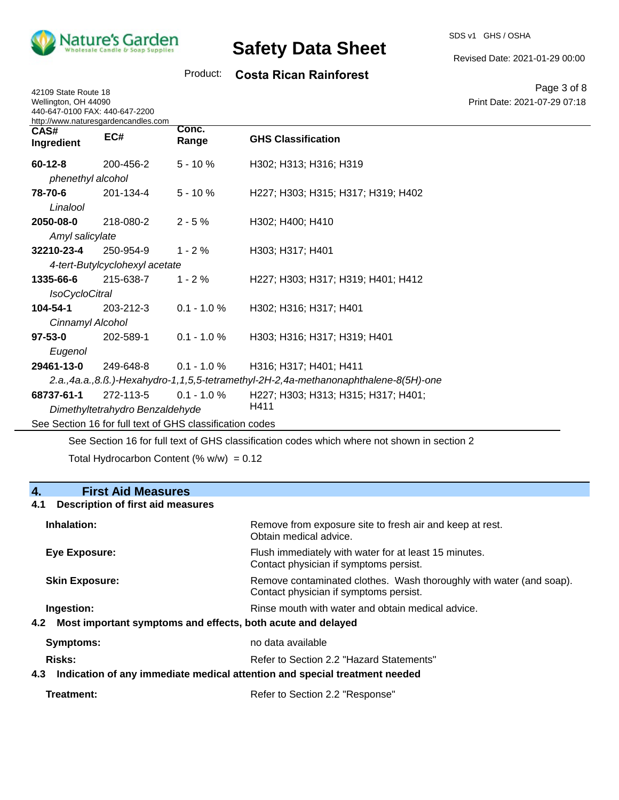

42109 State Route 18

# **Safety Data Sheet**

SDS v1 GHS / OSHA

Revised Date: 2021-01-29 00:00

## Product: **Costa Rican Rainforest**

Page 3 of 8 Print Date: 2021-07-29 07:18

| Wellington, OH 44090<br>440-647-0100 FAX: 440-647-2200<br>http://www.naturesgardencandles.com |                                 |                                                          |                                                                                     | Print Date: 2021-07-29 07:1 |
|-----------------------------------------------------------------------------------------------|---------------------------------|----------------------------------------------------------|-------------------------------------------------------------------------------------|-----------------------------|
| CAS#<br>Ingredient                                                                            | EC#                             | Conc.<br>Range                                           | <b>GHS Classification</b>                                                           |                             |
| $60 - 12 - 8$                                                                                 | 200-456-2                       | $5 - 10%$                                                | H302; H313; H316; H319                                                              |                             |
| phenethyl alcohol                                                                             |                                 |                                                          |                                                                                     |                             |
| 78-70-6                                                                                       | 201-134-4                       | $5 - 10%$                                                | H227; H303; H315; H317; H319; H402                                                  |                             |
| Linalool                                                                                      |                                 |                                                          |                                                                                     |                             |
| 2050-08-0                                                                                     | 218-080-2                       | $2 - 5%$                                                 | H302; H400; H410                                                                    |                             |
| Amyl salicylate                                                                               |                                 |                                                          |                                                                                     |                             |
| 32210-23-4                                                                                    | 250-954-9                       | $1 - 2%$                                                 | H303; H317; H401                                                                    |                             |
|                                                                                               | 4-tert-Butylcyclohexyl acetate  |                                                          |                                                                                     |                             |
| 1335-66-6                                                                                     | 215-638-7                       | $1 - 2%$                                                 | H227; H303; H317; H319; H401; H412                                                  |                             |
| <b>IsoCycloCitral</b>                                                                         |                                 |                                                          |                                                                                     |                             |
| 104-54-1                                                                                      | 203-212-3                       | $0.1 - 1.0 %$                                            | H302; H316; H317; H401                                                              |                             |
| Cinnamyl Alcohol                                                                              |                                 |                                                          |                                                                                     |                             |
| $97 - 53 - 0$                                                                                 | 202-589-1                       | $0.1 - 1.0 %$                                            | H303; H316; H317; H319; H401                                                        |                             |
| Eugenol                                                                                       |                                 |                                                          |                                                                                     |                             |
| 29461-13-0                                                                                    | 249-648-8                       | $0.1 - 1.0 %$                                            | H316; H317; H401; H411                                                              |                             |
|                                                                                               |                                 |                                                          | 2.a.,4a.a.,8.ß.)-Hexahydro-1,1,5,5-tetramethyl-2H-2,4a-methanonaphthalene-8(5H)-one |                             |
| 68737-61-1                                                                                    | 272-113-5                       | $0.1 - 1.0 \%$                                           | H227; H303; H313; H315; H317; H401;                                                 |                             |
|                                                                                               | Dimethyltetrahydro Benzaldehyde |                                                          | H411                                                                                |                             |
|                                                                                               |                                 | See Section 16 for full text of GHS classification codes |                                                                                     |                             |

See Section 16 for full text of GHS classification codes which where not shown in section 2

Total Hydrocarbon Content (%  $w/w$ ) = 0.12

### **4. First Aid Measures**

#### **4.1 Description of first aid measures**

| Inhalation:                                                                    | Remove from exposure site to fresh air and keep at rest.<br>Obtain medical advice.                            |  |
|--------------------------------------------------------------------------------|---------------------------------------------------------------------------------------------------------------|--|
| Eye Exposure:                                                                  | Flush immediately with water for at least 15 minutes.<br>Contact physician if symptoms persist.               |  |
| <b>Skin Exposure:</b>                                                          | Remove contaminated clothes. Wash thoroughly with water (and soap).<br>Contact physician if symptoms persist. |  |
| Ingestion:                                                                     | Rinse mouth with water and obtain medical advice.                                                             |  |
| 4.2 Most important symptoms and effects, both acute and delayed                |                                                                                                               |  |
| Symptoms:                                                                      | no data available                                                                                             |  |
| <b>Risks:</b>                                                                  | Refer to Section 2.2 "Hazard Statements"                                                                      |  |
| 4.3 Indication of any immediate medical attention and special treatment needed |                                                                                                               |  |
|                                                                                |                                                                                                               |  |

| Refer to Section 2.2 "Response" |  |
|---------------------------------|--|
|                                 |  |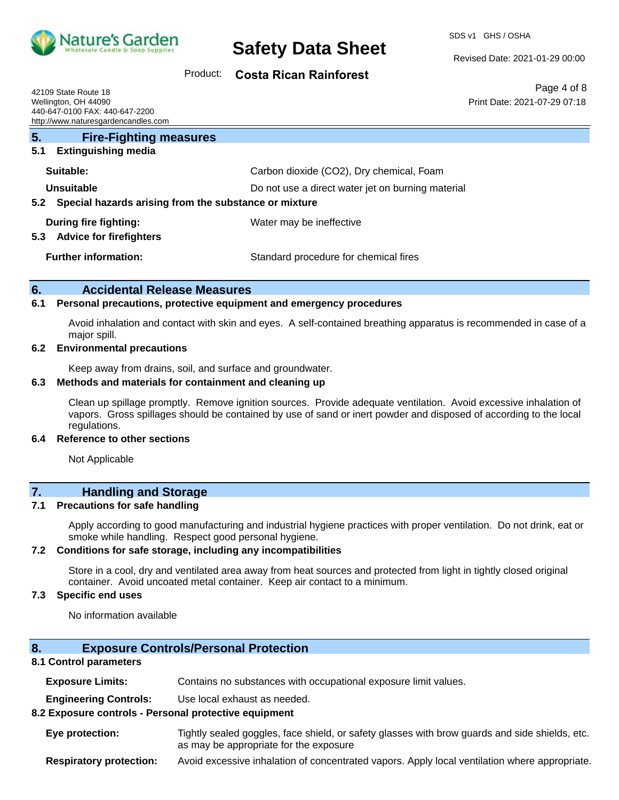

#### Revised Date: 2021-01-29 00:00

Print Date: 2021-07-29 07:18

Page 4 of 8

#### Product: **Costa Rican Rainforest**

42109 State Route 18 Wellington, OH 44090 440-647-0100 FAX: 440-647-2200 http://www.naturesgardencandles.com

| 5.<br><b>Fire-Fighting measures</b>                            |                                                   |  |
|----------------------------------------------------------------|---------------------------------------------------|--|
| <b>Extinguishing media</b><br>5.1                              |                                                   |  |
| Suitable:                                                      | Carbon dioxide (CO2), Dry chemical, Foam          |  |
| Unsuitable                                                     | Do not use a direct water jet on burning material |  |
| Special hazards arising from the substance or mixture<br>5.2   |                                                   |  |
| During fire fighting:<br><b>Advice for firefighters</b><br>5.3 | Water may be ineffective                          |  |
|                                                                |                                                   |  |
| <b>Further information:</b>                                    | Standard procedure for chemical fires             |  |

#### **6. Accidental Release Measures**

#### **6.1 Personal precautions, protective equipment and emergency procedures**

Avoid inhalation and contact with skin and eyes. A self-contained breathing apparatus is recommended in case of a major spill.

#### **6.2 Environmental precautions**

Keep away from drains, soil, and surface and groundwater.

#### **6.3 Methods and materials for containment and cleaning up**

Clean up spillage promptly. Remove ignition sources. Provide adequate ventilation. Avoid excessive inhalation of vapors. Gross spillages should be contained by use of sand or inert powder and disposed of according to the local regulations.

#### **6.4 Reference to other sections**

Not Applicable

## **7. Handling and Storage**

#### **7.1 Precautions for safe handling**

Apply according to good manufacturing and industrial hygiene practices with proper ventilation. Do not drink, eat or smoke while handling. Respect good personal hygiene.

#### **7.2 Conditions for safe storage, including any incompatibilities**

Store in a cool, dry and ventilated area away from heat sources and protected from light in tightly closed original container. Avoid uncoated metal container. Keep air contact to a minimum.

#### **7.3 Specific end uses**

No information available

#### **8. Exposure Controls/Personal Protection**

#### **8.1 Control parameters**

**Exposure Limits:** Contains no substances with occupational exposure limit values.

**Engineering Controls:** Use local exhaust as needed.

#### **8.2 Exposure controls - Personal protective equipment**

**Eye protection:** Tightly sealed goggles, face shield, or safety glasses with brow guards and side shields, etc. as may be appropriate for the exposure

**Respiratory protection:** Avoid excessive inhalation of concentrated vapors. Apply local ventilation where appropriate.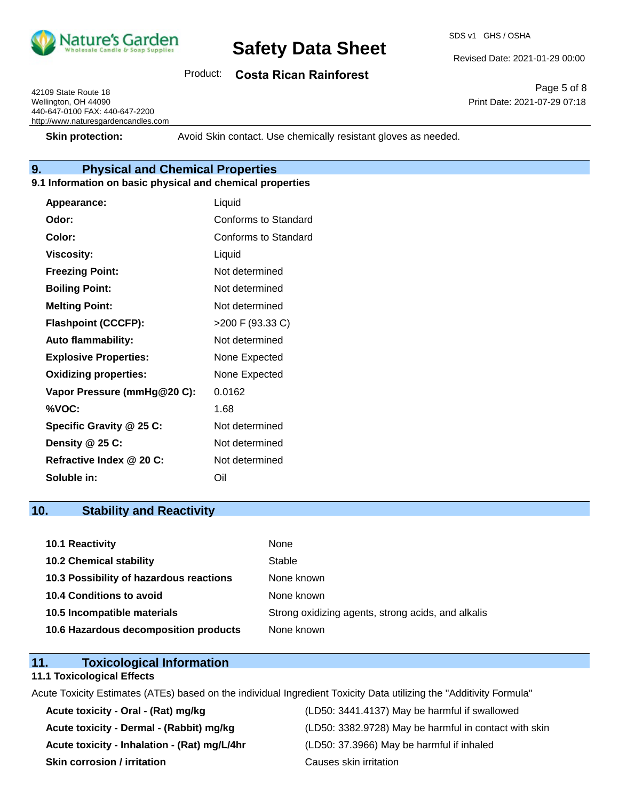

SDS v1 GHS / OSHA

## Product: **Costa Rican Rainforest**

42109 State Route 18 Wellington, OH 44090 440-647-0100 FAX: 440-647-2200 http://www.naturesgardencandles.com

Page 5 of 8 Print Date: 2021-07-29 07:18

Revised Date: 2021-01-29 00:00

**Skin protection:** Avoid Skin contact. Use chemically resistant gloves as needed.

## **9. Physical and Chemical Properties**

#### **9.1 Information on basic physical and chemical properties**

| Appearance:                  | Liquid               |
|------------------------------|----------------------|
| Odor:                        | Conforms to Standard |
| Color:                       | Conforms to Standard |
| <b>Viscosity:</b>            | Liquid               |
| <b>Freezing Point:</b>       | Not determined       |
| <b>Boiling Point:</b>        | Not determined       |
| <b>Melting Point:</b>        | Not determined       |
| <b>Flashpoint (CCCFP):</b>   | >200 F (93.33 C)     |
| <b>Auto flammability:</b>    | Not determined       |
| <b>Explosive Properties:</b> | None Expected        |
| <b>Oxidizing properties:</b> | None Expected        |
| Vapor Pressure (mmHg@20 C):  | 0.0162               |
| %VOC:                        | 1.68                 |
| Specific Gravity @ 25 C:     | Not determined       |
| Density @ 25 C:              | Not determined       |
| Refractive Index @ 20 C:     | Not determined       |
| Soluble in:                  | Oil                  |

### **10. Stability and Reactivity**

| 10.1 Reactivity                         | None                                               |
|-----------------------------------------|----------------------------------------------------|
| <b>10.2 Chemical stability</b>          | Stable                                             |
| 10.3 Possibility of hazardous reactions | None known                                         |
| 10.4 Conditions to avoid                | None known                                         |
| 10.5 Incompatible materials             | Strong oxidizing agents, strong acids, and alkalis |
| 10.6 Hazardous decomposition products   | None known                                         |

### **11. Toxicological Information**

#### **11.1 Toxicological Effects**

Acute Toxicity Estimates (ATEs) based on the individual Ingredient Toxicity Data utilizing the "Additivity Formula"

**Acute toxicity - Inhalation - (Rat) mg/L/4hr** (LD50: 37.3966) May be harmful if inhaled **Skin corrosion / irritation Causes skin irritation** 

**Acute toxicity - Oral - (Rat) mg/kg** (LD50: 3441.4137) May be harmful if swallowed Acute toxicity - Dermal - (Rabbit) mg/kg <br>
(LD50: 3382.9728) May be harmful in contact with skin

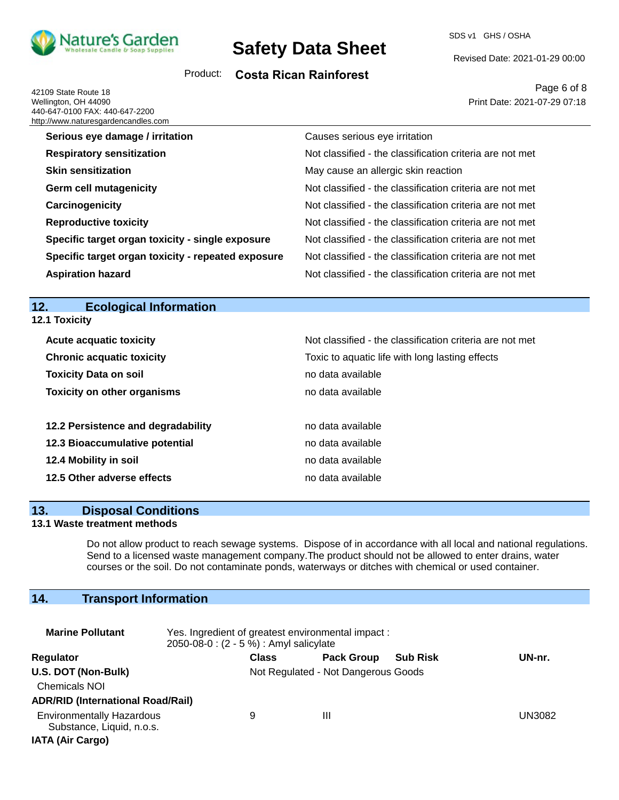

SDS v1 GHS / OSHA

Revised Date: 2021-01-29 00:00

## Product: **Costa Rican Rainforest**

42109 State Route 18 Wellington, OH 44090 440-647-0100 FAX: 440-647-2200 http://www.naturesoarder.<br>http://www.naturesoarder

Page 6 of 8 Print Date: 2021-07-29 07:18

| <u>p.//www.liatulesyaluelicaliules.com</u>         |                                                          |
|----------------------------------------------------|----------------------------------------------------------|
| Serious eye damage / irritation                    | Causes serious eye irritation                            |
| <b>Respiratory sensitization</b>                   | Not classified - the classification criteria are not met |
| <b>Skin sensitization</b>                          | May cause an allergic skin reaction                      |
| <b>Germ cell mutagenicity</b>                      | Not classified - the classification criteria are not met |
| Carcinogenicity                                    | Not classified - the classification criteria are not met |
| <b>Reproductive toxicity</b>                       | Not classified - the classification criteria are not met |
| Specific target organ toxicity - single exposure   | Not classified - the classification criteria are not met |
| Specific target organ toxicity - repeated exposure | Not classified - the classification criteria are not met |
| <b>Aspiration hazard</b>                           | Not classified - the classification criteria are not met |

## **12. Ecological Information**

| 1Z.<br>Ecological information      |                                                          |
|------------------------------------|----------------------------------------------------------|
| <b>12.1 Toxicity</b>               |                                                          |
| <b>Acute acquatic toxicity</b>     | Not classified - the classification criteria are not met |
| <b>Chronic acquatic toxicity</b>   | Toxic to aquatic life with long lasting effects          |
| <b>Toxicity Data on soil</b>       | no data available                                        |
| <b>Toxicity on other organisms</b> | no data available                                        |
| 12.2 Persistence and degradability | no data available                                        |
| 12.3 Bioaccumulative potential     | no data available                                        |
| 12.4 Mobility in soil              | no data available                                        |
| 12.5 Other adverse effects         | no data available                                        |

## **13. Disposal Conditions**

#### **13.1 Waste treatment methods**

Do not allow product to reach sewage systems. Dispose of in accordance with all local and national regulations. Send to a licensed waste management company.The product should not be allowed to enter drains, water courses or the soil. Do not contaminate ponds, waterways or ditches with chemical or used container.

## **14. Transport Information**

| <b>Marine Pollutant</b>                                                                  | Yes. Ingredient of greatest environmental impact:<br>2050-08-0 : (2 - 5 %) : Amyl salicylate |              |                                     |                 |        |
|------------------------------------------------------------------------------------------|----------------------------------------------------------------------------------------------|--------------|-------------------------------------|-----------------|--------|
| Regulator                                                                                |                                                                                              | <b>Class</b> | <b>Pack Group</b>                   | <b>Sub Risk</b> | UN-nr. |
| U.S. DOT (Non-Bulk)<br><b>Chemicals NOI</b><br><b>ADR/RID (International Road/Rail)</b>  |                                                                                              |              | Not Regulated - Not Dangerous Goods |                 |        |
| <b>Environmentally Hazardous</b><br>Substance, Liquid, n.o.s.<br><b>IATA (Air Cargo)</b> |                                                                                              | 9            | Ш                                   |                 | UN3082 |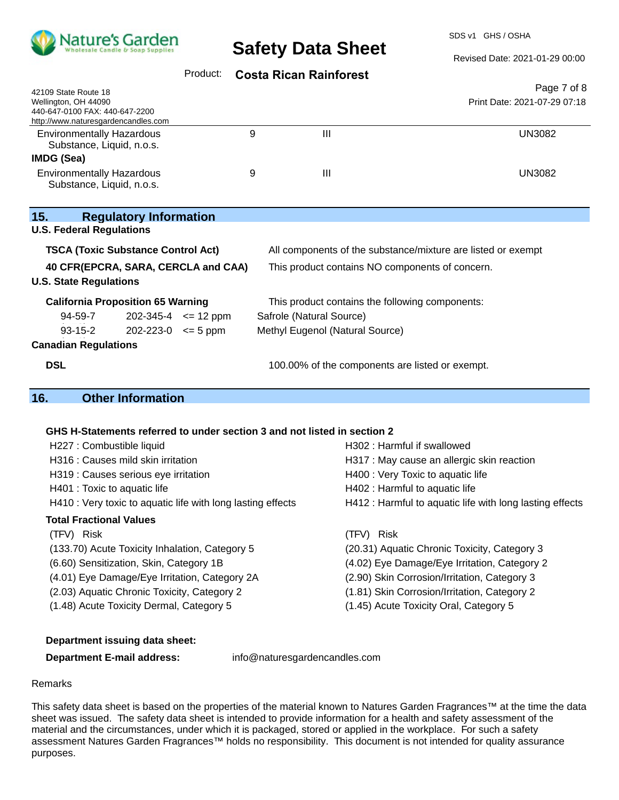

SDS v1 GHS / OSHA

Revised Date: 2021-01-29 00:00

## Product: **Costa Rican Rainforest**

| Page 7 of 8<br>42109 State Route 18<br>Print Date: 2021-07-29 07:18<br>Wellington, OH 44090<br>440-647-0100 FAX: 440-647-2200<br>http://www.naturesgardencandles.com<br>9<br>III<br><b>UN3082</b><br><b>Environmentally Hazardous</b><br>Substance, Liquid, n.o.s.<br><b>IMDG (Sea)</b><br><b>Environmentally Hazardous</b><br>Ш<br>9<br><b>UN3082</b><br>Substance, Liquid, n.o.s.<br>15.<br><b>Regulatory Information</b><br><b>U.S. Federal Regulations</b><br><b>TSCA (Toxic Substance Control Act)</b><br>All components of the substance/mixture are listed or exempt<br>40 CFR(EPCRA, SARA, CERCLA and CAA)<br>This product contains NO components of concern.<br><b>California Proposition 65 Warning</b><br>This product contains the following components:<br>94-59-7<br>$202-345-4$ <= 12 ppm<br>Safrole (Natural Source)<br>$93 - 15 - 2$<br>$202 - 223 - 0 \le 5$ ppm<br>Methyl Eugenol (Natural Source)<br><b>Canadian Regulations</b><br><b>DSL</b><br>100.00% of the components are listed or exempt.<br><b>Other Information</b><br>GHS H-Statements referred to under section 3 and not listed in section 2<br>H227 : Combustible liquid<br>H302: Harmful if swallowed<br>H316 : Causes mild skin irritation<br>H317 : May cause an allergic skin reaction<br>H400 : Very Toxic to aquatic life<br>H319 : Causes serious eye irritation<br>H402 : Harmful to aquatic life<br>H401 : Toxic to aquatic life<br>H410 : Very toxic to aquatic life with long lasting effects<br>H412 : Harmful to aquatic life with long lasting effects<br><b>Total Fractional Values</b><br>(TFV) Risk<br>(TFV) Risk<br>(20.31) Aquatic Chronic Toxicity, Category 3<br>(133.70) Acute Toxicity Inhalation, Category 5<br>(6.60) Sensitization, Skin, Category 1B<br>(4.02) Eye Damage/Eye Irritation, Category 2<br>(4.01) Eye Damage/Eye Irritation, Category 2A<br>(2.90) Skin Corrosion/Irritation, Category 3<br>(2.03) Aquatic Chronic Toxicity, Category 2<br>(1.81) Skin Corrosion/Irritation, Category 2 |                                          |  |                                        |  |  |
|-------------------------------------------------------------------------------------------------------------------------------------------------------------------------------------------------------------------------------------------------------------------------------------------------------------------------------------------------------------------------------------------------------------------------------------------------------------------------------------------------------------------------------------------------------------------------------------------------------------------------------------------------------------------------------------------------------------------------------------------------------------------------------------------------------------------------------------------------------------------------------------------------------------------------------------------------------------------------------------------------------------------------------------------------------------------------------------------------------------------------------------------------------------------------------------------------------------------------------------------------------------------------------------------------------------------------------------------------------------------------------------------------------------------------------------------------------------------------------------------------------------------------------------------------------------------------------------------------------------------------------------------------------------------------------------------------------------------------------------------------------------------------------------------------------------------------------------------------------------------------------------------------------------------------------------------------------------------------------------------------------------------|------------------------------------------|--|----------------------------------------|--|--|
|                                                                                                                                                                                                                                                                                                                                                                                                                                                                                                                                                                                                                                                                                                                                                                                                                                                                                                                                                                                                                                                                                                                                                                                                                                                                                                                                                                                                                                                                                                                                                                                                                                                                                                                                                                                                                                                                                                                                                                                                                   |                                          |  |                                        |  |  |
|                                                                                                                                                                                                                                                                                                                                                                                                                                                                                                                                                                                                                                                                                                                                                                                                                                                                                                                                                                                                                                                                                                                                                                                                                                                                                                                                                                                                                                                                                                                                                                                                                                                                                                                                                                                                                                                                                                                                                                                                                   |                                          |  |                                        |  |  |
|                                                                                                                                                                                                                                                                                                                                                                                                                                                                                                                                                                                                                                                                                                                                                                                                                                                                                                                                                                                                                                                                                                                                                                                                                                                                                                                                                                                                                                                                                                                                                                                                                                                                                                                                                                                                                                                                                                                                                                                                                   |                                          |  |                                        |  |  |
|                                                                                                                                                                                                                                                                                                                                                                                                                                                                                                                                                                                                                                                                                                                                                                                                                                                                                                                                                                                                                                                                                                                                                                                                                                                                                                                                                                                                                                                                                                                                                                                                                                                                                                                                                                                                                                                                                                                                                                                                                   |                                          |  |                                        |  |  |
|                                                                                                                                                                                                                                                                                                                                                                                                                                                                                                                                                                                                                                                                                                                                                                                                                                                                                                                                                                                                                                                                                                                                                                                                                                                                                                                                                                                                                                                                                                                                                                                                                                                                                                                                                                                                                                                                                                                                                                                                                   |                                          |  |                                        |  |  |
|                                                                                                                                                                                                                                                                                                                                                                                                                                                                                                                                                                                                                                                                                                                                                                                                                                                                                                                                                                                                                                                                                                                                                                                                                                                                                                                                                                                                                                                                                                                                                                                                                                                                                                                                                                                                                                                                                                                                                                                                                   |                                          |  |                                        |  |  |
|                                                                                                                                                                                                                                                                                                                                                                                                                                                                                                                                                                                                                                                                                                                                                                                                                                                                                                                                                                                                                                                                                                                                                                                                                                                                                                                                                                                                                                                                                                                                                                                                                                                                                                                                                                                                                                                                                                                                                                                                                   |                                          |  |                                        |  |  |
|                                                                                                                                                                                                                                                                                                                                                                                                                                                                                                                                                                                                                                                                                                                                                                                                                                                                                                                                                                                                                                                                                                                                                                                                                                                                                                                                                                                                                                                                                                                                                                                                                                                                                                                                                                                                                                                                                                                                                                                                                   |                                          |  |                                        |  |  |
|                                                                                                                                                                                                                                                                                                                                                                                                                                                                                                                                                                                                                                                                                                                                                                                                                                                                                                                                                                                                                                                                                                                                                                                                                                                                                                                                                                                                                                                                                                                                                                                                                                                                                                                                                                                                                                                                                                                                                                                                                   |                                          |  |                                        |  |  |
|                                                                                                                                                                                                                                                                                                                                                                                                                                                                                                                                                                                                                                                                                                                                                                                                                                                                                                                                                                                                                                                                                                                                                                                                                                                                                                                                                                                                                                                                                                                                                                                                                                                                                                                                                                                                                                                                                                                                                                                                                   |                                          |  |                                        |  |  |
|                                                                                                                                                                                                                                                                                                                                                                                                                                                                                                                                                                                                                                                                                                                                                                                                                                                                                                                                                                                                                                                                                                                                                                                                                                                                                                                                                                                                                                                                                                                                                                                                                                                                                                                                                                                                                                                                                                                                                                                                                   |                                          |  |                                        |  |  |
|                                                                                                                                                                                                                                                                                                                                                                                                                                                                                                                                                                                                                                                                                                                                                                                                                                                                                                                                                                                                                                                                                                                                                                                                                                                                                                                                                                                                                                                                                                                                                                                                                                                                                                                                                                                                                                                                                                                                                                                                                   |                                          |  |                                        |  |  |
|                                                                                                                                                                                                                                                                                                                                                                                                                                                                                                                                                                                                                                                                                                                                                                                                                                                                                                                                                                                                                                                                                                                                                                                                                                                                                                                                                                                                                                                                                                                                                                                                                                                                                                                                                                                                                                                                                                                                                                                                                   |                                          |  |                                        |  |  |
|                                                                                                                                                                                                                                                                                                                                                                                                                                                                                                                                                                                                                                                                                                                                                                                                                                                                                                                                                                                                                                                                                                                                                                                                                                                                                                                                                                                                                                                                                                                                                                                                                                                                                                                                                                                                                                                                                                                                                                                                                   | <b>U.S. State Regulations</b>            |  |                                        |  |  |
|                                                                                                                                                                                                                                                                                                                                                                                                                                                                                                                                                                                                                                                                                                                                                                                                                                                                                                                                                                                                                                                                                                                                                                                                                                                                                                                                                                                                                                                                                                                                                                                                                                                                                                                                                                                                                                                                                                                                                                                                                   |                                          |  |                                        |  |  |
|                                                                                                                                                                                                                                                                                                                                                                                                                                                                                                                                                                                                                                                                                                                                                                                                                                                                                                                                                                                                                                                                                                                                                                                                                                                                                                                                                                                                                                                                                                                                                                                                                                                                                                                                                                                                                                                                                                                                                                                                                   |                                          |  |                                        |  |  |
|                                                                                                                                                                                                                                                                                                                                                                                                                                                                                                                                                                                                                                                                                                                                                                                                                                                                                                                                                                                                                                                                                                                                                                                                                                                                                                                                                                                                                                                                                                                                                                                                                                                                                                                                                                                                                                                                                                                                                                                                                   |                                          |  |                                        |  |  |
|                                                                                                                                                                                                                                                                                                                                                                                                                                                                                                                                                                                                                                                                                                                                                                                                                                                                                                                                                                                                                                                                                                                                                                                                                                                                                                                                                                                                                                                                                                                                                                                                                                                                                                                                                                                                                                                                                                                                                                                                                   |                                          |  |                                        |  |  |
|                                                                                                                                                                                                                                                                                                                                                                                                                                                                                                                                                                                                                                                                                                                                                                                                                                                                                                                                                                                                                                                                                                                                                                                                                                                                                                                                                                                                                                                                                                                                                                                                                                                                                                                                                                                                                                                                                                                                                                                                                   |                                          |  |                                        |  |  |
|                                                                                                                                                                                                                                                                                                                                                                                                                                                                                                                                                                                                                                                                                                                                                                                                                                                                                                                                                                                                                                                                                                                                                                                                                                                                                                                                                                                                                                                                                                                                                                                                                                                                                                                                                                                                                                                                                                                                                                                                                   |                                          |  |                                        |  |  |
|                                                                                                                                                                                                                                                                                                                                                                                                                                                                                                                                                                                                                                                                                                                                                                                                                                                                                                                                                                                                                                                                                                                                                                                                                                                                                                                                                                                                                                                                                                                                                                                                                                                                                                                                                                                                                                                                                                                                                                                                                   |                                          |  |                                        |  |  |
|                                                                                                                                                                                                                                                                                                                                                                                                                                                                                                                                                                                                                                                                                                                                                                                                                                                                                                                                                                                                                                                                                                                                                                                                                                                                                                                                                                                                                                                                                                                                                                                                                                                                                                                                                                                                                                                                                                                                                                                                                   | 16.                                      |  |                                        |  |  |
|                                                                                                                                                                                                                                                                                                                                                                                                                                                                                                                                                                                                                                                                                                                                                                                                                                                                                                                                                                                                                                                                                                                                                                                                                                                                                                                                                                                                                                                                                                                                                                                                                                                                                                                                                                                                                                                                                                                                                                                                                   |                                          |  |                                        |  |  |
|                                                                                                                                                                                                                                                                                                                                                                                                                                                                                                                                                                                                                                                                                                                                                                                                                                                                                                                                                                                                                                                                                                                                                                                                                                                                                                                                                                                                                                                                                                                                                                                                                                                                                                                                                                                                                                                                                                                                                                                                                   |                                          |  |                                        |  |  |
|                                                                                                                                                                                                                                                                                                                                                                                                                                                                                                                                                                                                                                                                                                                                                                                                                                                                                                                                                                                                                                                                                                                                                                                                                                                                                                                                                                                                                                                                                                                                                                                                                                                                                                                                                                                                                                                                                                                                                                                                                   |                                          |  |                                        |  |  |
|                                                                                                                                                                                                                                                                                                                                                                                                                                                                                                                                                                                                                                                                                                                                                                                                                                                                                                                                                                                                                                                                                                                                                                                                                                                                                                                                                                                                                                                                                                                                                                                                                                                                                                                                                                                                                                                                                                                                                                                                                   |                                          |  |                                        |  |  |
|                                                                                                                                                                                                                                                                                                                                                                                                                                                                                                                                                                                                                                                                                                                                                                                                                                                                                                                                                                                                                                                                                                                                                                                                                                                                                                                                                                                                                                                                                                                                                                                                                                                                                                                                                                                                                                                                                                                                                                                                                   |                                          |  |                                        |  |  |
|                                                                                                                                                                                                                                                                                                                                                                                                                                                                                                                                                                                                                                                                                                                                                                                                                                                                                                                                                                                                                                                                                                                                                                                                                                                                                                                                                                                                                                                                                                                                                                                                                                                                                                                                                                                                                                                                                                                                                                                                                   |                                          |  |                                        |  |  |
|                                                                                                                                                                                                                                                                                                                                                                                                                                                                                                                                                                                                                                                                                                                                                                                                                                                                                                                                                                                                                                                                                                                                                                                                                                                                                                                                                                                                                                                                                                                                                                                                                                                                                                                                                                                                                                                                                                                                                                                                                   |                                          |  |                                        |  |  |
|                                                                                                                                                                                                                                                                                                                                                                                                                                                                                                                                                                                                                                                                                                                                                                                                                                                                                                                                                                                                                                                                                                                                                                                                                                                                                                                                                                                                                                                                                                                                                                                                                                                                                                                                                                                                                                                                                                                                                                                                                   |                                          |  |                                        |  |  |
|                                                                                                                                                                                                                                                                                                                                                                                                                                                                                                                                                                                                                                                                                                                                                                                                                                                                                                                                                                                                                                                                                                                                                                                                                                                                                                                                                                                                                                                                                                                                                                                                                                                                                                                                                                                                                                                                                                                                                                                                                   |                                          |  |                                        |  |  |
|                                                                                                                                                                                                                                                                                                                                                                                                                                                                                                                                                                                                                                                                                                                                                                                                                                                                                                                                                                                                                                                                                                                                                                                                                                                                                                                                                                                                                                                                                                                                                                                                                                                                                                                                                                                                                                                                                                                                                                                                                   |                                          |  |                                        |  |  |
|                                                                                                                                                                                                                                                                                                                                                                                                                                                                                                                                                                                                                                                                                                                                                                                                                                                                                                                                                                                                                                                                                                                                                                                                                                                                                                                                                                                                                                                                                                                                                                                                                                                                                                                                                                                                                                                                                                                                                                                                                   |                                          |  |                                        |  |  |
|                                                                                                                                                                                                                                                                                                                                                                                                                                                                                                                                                                                                                                                                                                                                                                                                                                                                                                                                                                                                                                                                                                                                                                                                                                                                                                                                                                                                                                                                                                                                                                                                                                                                                                                                                                                                                                                                                                                                                                                                                   |                                          |  |                                        |  |  |
|                                                                                                                                                                                                                                                                                                                                                                                                                                                                                                                                                                                                                                                                                                                                                                                                                                                                                                                                                                                                                                                                                                                                                                                                                                                                                                                                                                                                                                                                                                                                                                                                                                                                                                                                                                                                                                                                                                                                                                                                                   |                                          |  |                                        |  |  |
|                                                                                                                                                                                                                                                                                                                                                                                                                                                                                                                                                                                                                                                                                                                                                                                                                                                                                                                                                                                                                                                                                                                                                                                                                                                                                                                                                                                                                                                                                                                                                                                                                                                                                                                                                                                                                                                                                                                                                                                                                   | (1.48) Acute Toxicity Dermal, Category 5 |  | (1.45) Acute Toxicity Oral, Category 5 |  |  |

#### **Department issuing data sheet:**

**Department E-mail address:** info@naturesgardencandles.com

#### Remarks

This safety data sheet is based on the properties of the material known to Natures Garden Fragrances™ at the time the data sheet was issued. The safety data sheet is intended to provide information for a health and safety assessment of the material and the circumstances, under which it is packaged, stored or applied in the workplace. For such a safety assessment Natures Garden Fragrances™ holds no responsibility. This document is not intended for quality assurance purposes.